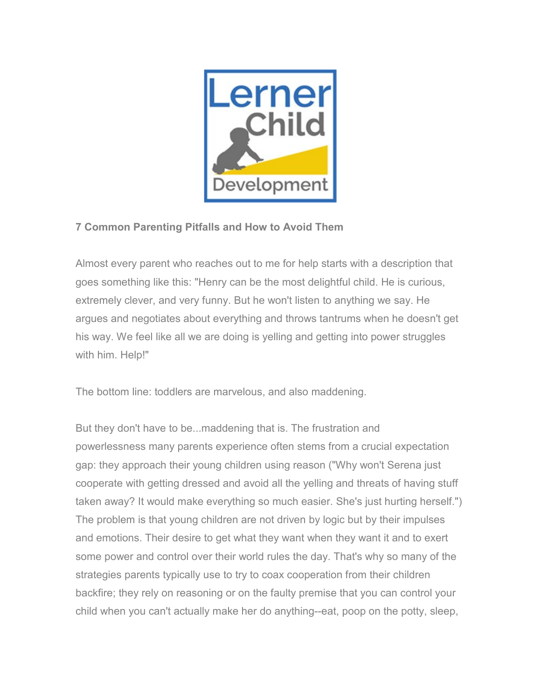

## **7 Common Parenting Pitfalls and How to Avoid Them**

Almost every parent who reaches out to me for help starts with a description that goes something like this: "Henry can be the most delightful child. He is curious, extremely clever, and very funny. But he won't listen to anything we say. He argues and negotiates about everything and throws tantrums when he doesn't get his way. We feel like all we are doing is yelling and getting into power struggles with him. Help!"

The bottom line: toddlers are marvelous, and also maddening.

But they don't have to be...maddening that is. The frustration and powerlessness many parents experience often stems from a crucial expectation gap: they approach their young children using reason ("Why won't Serena just cooperate with getting dressed and avoid all the yelling and threats of having stuff taken away? It would make everything so much easier. She's just hurting herself.") The problem is that young children are not driven by logic but by their impulses and emotions. Their desire to get what they want when they want it and to exert some power and control over their world rules the day. That's why so many of the strategies parents typically use to try to coax cooperation from their children backfire; they rely on reasoning or on the faulty premise that you can control your child when you can't actually make her do anything--eat, poop on the potty, sleep,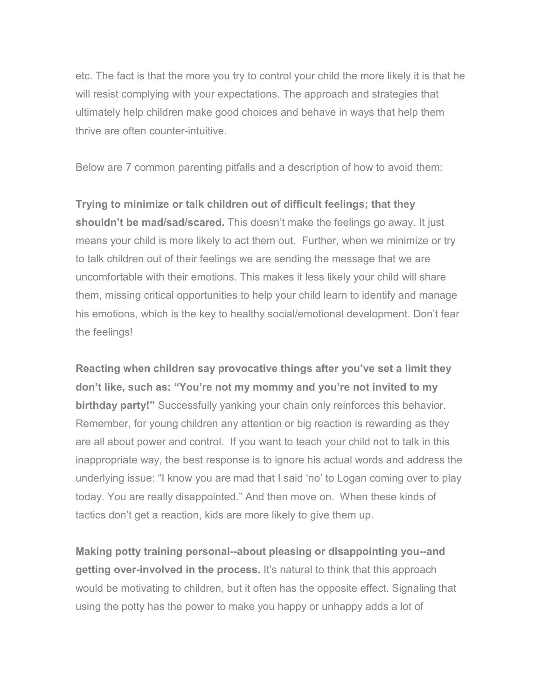etc. The fact is that the more you try to control your child the more likely it is that he will resist complying with your expectations. The approach and strategies that ultimately help children make good choices and behave in ways that help them thrive are often counter-intuitive.

Below are 7 common parenting pitfalls and a description of how to avoid them:

**Trying to minimize or talk children out of difficult feelings; that they shouldn't be mad/sad/scared.** This doesn't make the feelings go away. It just means your child is more likely to act them out. Further, when we minimize or try to talk children out of their feelings we are sending the message that we are uncomfortable with their emotions. This makes it less likely your child will share them, missing critical opportunities to help your child learn to identify and manage his emotions, which is the key to healthy social/emotional development. Don't fear the feelings!

**Reacting when children say provocative things after you've set a limit they don't like, such as: "You're not my mommy and you're not invited to my birthday party!"** Successfully yanking your chain only reinforces this behavior. Remember, for young children any attention or big reaction is rewarding as they are all about power and control. If you want to teach your child not to talk in this inappropriate way, the best response is to ignore his actual words and address the underlying issue: "I know you are mad that I said 'no' to Logan coming over to play today. You are really disappointed." And then move on. When these kinds of tactics don't get a reaction, kids are more likely to give them up.

**Making potty training personal--about pleasing or disappointing you--and getting over-involved in the process.** It's natural to think that this approach would be motivating to children, but it often has the opposite effect. Signaling that using the potty has the power to make you happy or unhappy adds a lot of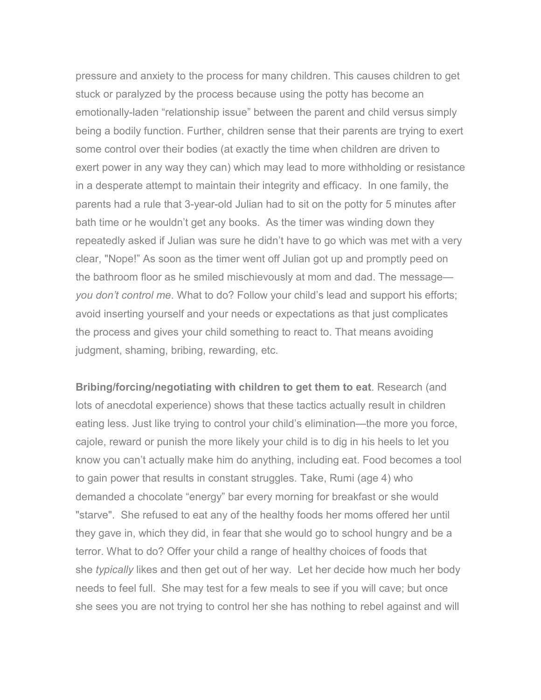pressure and anxiety to the process for many children. This causes children to get stuck or paralyzed by the process because using the potty has become an emotionally-laden "relationship issue" between the parent and child versus simply being a bodily function. Further, children sense that their parents are trying to exert some control over their bodies (at exactly the time when children are driven to exert power in any way they can) which may lead to more withholding or resistance in a desperate attempt to maintain their integrity and efficacy. In one family, the parents had a rule that 3-year-old Julian had to sit on the potty for 5 minutes after bath time or he wouldn't get any books. As the timer was winding down they repeatedly asked if Julian was sure he didn't have to go which was met with a very clear, "Nope!" As soon as the timer went off Julian got up and promptly peed on the bathroom floor as he smiled mischievously at mom and dad. The message *you don't control me*. What to do? Follow your child's lead and support his efforts; avoid inserting yourself and your needs or expectations as that just complicates the process and gives your child something to react to. That means avoiding judgment, shaming, bribing, rewarding, etc.

**Bribing/forcing/negotiating with children to get them to eat**. Research (and lots of anecdotal experience) shows that these tactics actually result in children eating less. Just like trying to control your child's elimination—the more you force, cajole, reward or punish the more likely your child is to dig in his heels to let you know you can't actually make him do anything, including eat. Food becomes a tool to gain power that results in constant struggles. Take, Rumi (age 4) who demanded a chocolate "energy" bar every morning for breakfast or she would "starve". She refused to eat any of the healthy foods her moms offered her until they gave in, which they did, in fear that she would go to school hungry and be a terror. What to do? Offer your child a range of healthy choices of foods that she *typically* likes and then get out of her way. Let her decide how much her body needs to feel full. She may test for a few meals to see if you will cave; but once she sees you are not trying to control her she has nothing to rebel against and will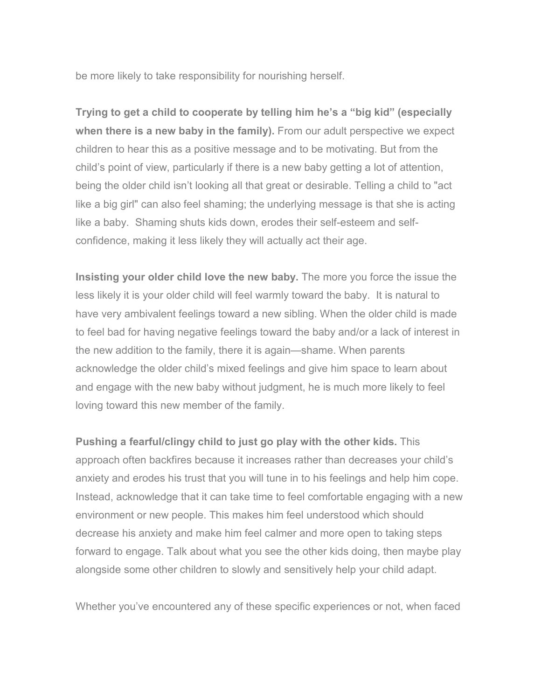be more likely to take responsibility for nourishing herself.

**Trying to get a child to cooperate by telling him he's a "big kid" (especially when there is a new baby in the family).** From our adult perspective we expect children to hear this as a positive message and to be motivating. But from the child's point of view, particularly if there is a new baby getting a lot of attention, being the older child isn't looking all that great or desirable. Telling a child to "act like a big girl" can also feel shaming; the underlying message is that she is acting like a baby. Shaming shuts kids down, erodes their self-esteem and selfconfidence, making it less likely they will actually act their age.

**Insisting your older child love the new baby.** The more you force the issue the less likely it is your older child will feel warmly toward the baby. It is natural to have very ambivalent feelings toward a new sibling. When the older child is made to feel bad for having negative feelings toward the baby and/or a lack of interest in the new addition to the family, there it is again—shame. When parents acknowledge the older child's mixed feelings and give him space to learn about and engage with the new baby without judgment, he is much more likely to feel loving toward this new member of the family.

**Pushing a fearful/clingy child to just go play with the other kids.** This approach often backfires because it increases rather than decreases your child's anxiety and erodes his trust that you will tune in to his feelings and help him cope. Instead, acknowledge that it can take time to feel comfortable engaging with a new environment or new people. This makes him feel understood which should decrease his anxiety and make him feel calmer and more open to taking steps forward to engage. Talk about what you see the other kids doing, then maybe play alongside some other children to slowly and sensitively help your child adapt.

Whether you've encountered any of these specific experiences or not, when faced